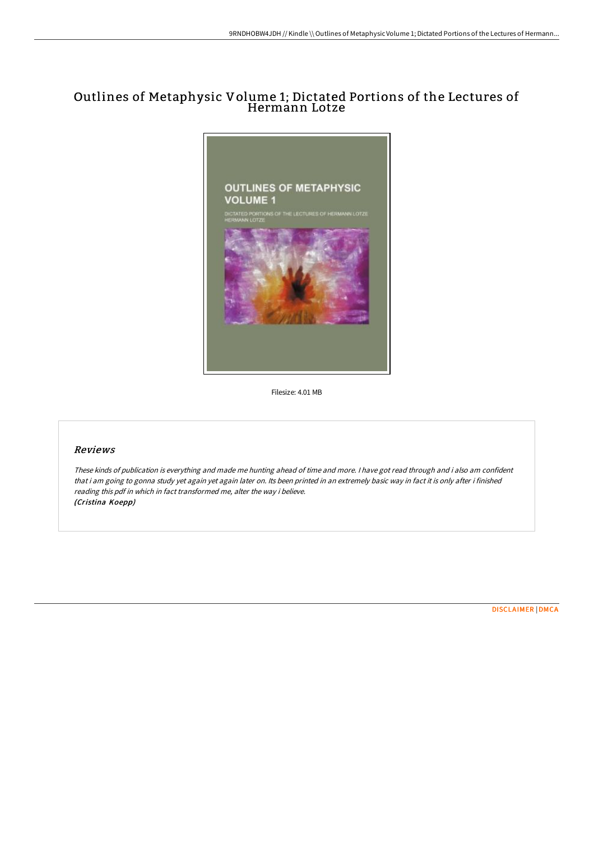## Outlines of Metaphysic Volume 1; Dictated Portions of the Lectures of Hermann Lotze



Filesize: 4.01 MB

## Reviews

These kinds of publication is everything and made me hunting ahead of time and more. <sup>I</sup> have got read through and i also am confident that i am going to gonna study yet again yet again later on. Its been printed in an extremely basic way in fact it is only after i finished reading this pdf in which in fact transformed me, alter the way i believe. (Cristina Koepp)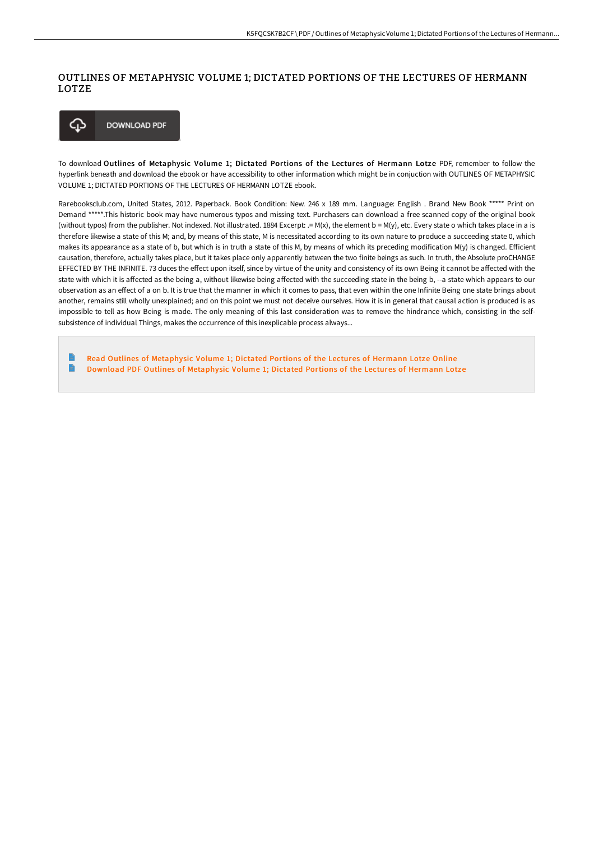## OUTLINES OF METAPHYSIC VOLUME 1; DICTATED PORTIONS OF THE LECTURES OF HERMANN LOTZE



To download Outlines of Metaphysic Volume 1; Dictated Portions of the Lectures of Hermann Lotze PDF, remember to follow the hyperlink beneath and download the ebook or have accessibility to other information which might be in conjuction with OUTLINES OF METAPHYSIC VOLUME 1; DICTATED PORTIONS OF THE LECTURES OF HERMANN LOTZE ebook.

Rarebooksclub.com, United States, 2012. Paperback. Book Condition: New. 246 x 189 mm. Language: English . Brand New Book \*\*\*\*\* Print on Demand \*\*\*\*\*.This historic book may have numerous typos and missing text. Purchasers can download a free scanned copy of the original book (without typos) from the publisher. Not indexed. Not illustrated. 1884 Excerpt: .= M(x), the element b = M(y), etc. Every state o which takes place in a is therefore likewise a state of this M; and, by means of this state, M is necessitated according to its own nature to produce a succeeding state 0, which makes its appearance as a state of b, but which is in truth a state of this M, by means of which its preceding modification M(y) is changed. Efficient causation, therefore, actually takes place, but it takes place only apparently between the two finite beings as such. In truth, the Absolute proCHANGE EFFECTED BY THE INFINITE. 73 duces the effect upon itself, since by virtue of the unity and consistency of its own Being it cannot be affected with the state with which it is affected as the being a, without likewise being affected with the succeeding state in the being b, --a state which appears to our observation as an effect of a on b. It is true that the manner in which it comes to pass, that even within the one Infinite Being one state brings about another, remains still wholly unexplained; and on this point we must not deceive ourselves. How it is in general that causal action is produced is as impossible to tell as how Being is made. The only meaning of this last consideration was to remove the hindrance which, consisting in the selfsubsistence of individual Things, makes the occurrence of this inexplicable process always...

E Read Outlines of [Metaphysic](http://techno-pub.tech/outlines-of-metaphysic-volume-1-dictated-portion.html) Volume 1; Dictated Portions of the Lectures of Hermann Lotze Online  $\mathbf{B}$ Download PDF Outlines of [Metaphysic](http://techno-pub.tech/outlines-of-metaphysic-volume-1-dictated-portion.html) Volume 1; Dictated Portions of the Lectures of Hermann Lotze